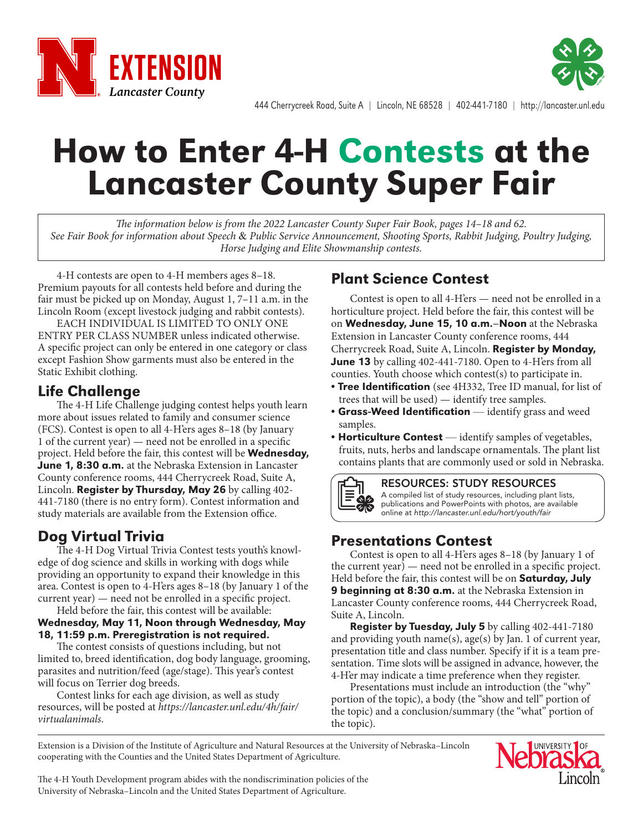



444 Cherrycreek Road, Suite A | Lincoln, NE 68528 | 402-441-7180 | http://lancaster.unl.edu

# How to Enter 4-H Contests at the Lancaster County Super Fair

*The information below is from the 2022 Lancaster County Super Fair Book, pages 14–18 and 62. See Fair Book for information about Speech* & *Public Service Announcement, Shooting Sports, Rabbit Judging, Poultry Judging, Horse Judging and Elite Showmanship contests.*

4-H contests are open to 4-H members ages 8–18. Premium payouts for all contests held before and during the fair must be picked up on Monday, August 1, 7–11 a.m. in the Lincoln Room (except livestock judging and rabbit contests).

EACH INDIVIDUAL IS LIMITED TO ONLY ONE ENTRY PER CLASS NUMBER unless indicated otherwise. A specific project can only be entered in one category or class except Fashion Show garments must also be entered in the Static Exhibit clothing.

## Life Challenge

The 4-H Life Challenge judging contest helps youth learn more about issues related to family and consumer science (FCS). Contest is open to all 4-H'ers ages 8–18 (by January 1 of the current year) — need not be enrolled in a specific project. Held before the fair, this contest will be **Wednesday**, June 1, 8:30 a.m. at the Nebraska Extension in Lancaster County conference rooms, 444 Cherrycreek Road, Suite A, Lincoln. Register by Thursday, May 26 by calling 402- 441-7180 (there is no entry form). Contest information and study materials are available from the Extension office.

## Dog Virtual Trivia

The 4-H Dog Virtual Trivia Contest tests youth's knowledge of dog science and skills in working with dogs while providing an opportunity to expand their knowledge in this area. Contest is open to 4-H'ers ages 8–18 (by January 1 of the current year) — need not be enrolled in a specific project. Held before the fair, this contest will be available:

### Wednesday, May 11, Noon through Wednesday, May 18, 11:59 p.m. Preregistration is not required.

The contest consists of questions including, but not limited to, breed identification, dog body language, grooming, parasites and nutrition/feed (age/stage). This year's contest will focus on Terrier dog breeds.

Contest links for each age division, as well as study resources, will be posted at *https://lancaster.unl.edu/4h/fair/ virtualanimals*.

## Plant Science Contest

Contest is open to all 4-H'ers — need not be enrolled in a horticulture project. Held before the fair, this contest will be on Wednesday, June 15, 10 a.m.–Noon at the Nebraska Extension in Lancaster County conference rooms, 444 Cherrycreek Road, Suite A, Lincoln. Register by Monday, **June 13** by calling 402-441-7180. Open to 4-H'ers from all counties. Youth choose which contest(s) to participate in.

- Tree Identification (see 4H332, Tree ID manual, for list of trees that will be used) — identify tree samples.
- Grass-Weed Identification identify grass and weed samples.
- Horticulture Contest identify samples of vegetables, fruits, nuts, herbs and landscape ornamentals. The plant list contains plants that are commonly used or sold in Nebraska.



#### RESOURCES: STUDY RESOURCES

A compiled list of study resources, including plant lists, publications and PowerPoints with photos, are available online at *http://lancaster.unl.edu/hort/youth/fair*

## Presentations Contest

Contest is open to all 4-H'ers ages 8–18 (by January 1 of the current year) — need not be enrolled in a specific project. Held before the fair, this contest will be on **Saturday, July** 9 beginning at 8:30 a.m. at the Nebraska Extension in Lancaster County conference rooms, 444 Cherrycreek Road, Suite A, Lincoln.

Register by Tuesday, July 5 by calling 402-441-7180 and providing youth name(s), age(s) by Jan. 1 of current year, presentation title and class number. Specify if it is a team presentation. Time slots will be assigned in advance, however, the 4-H'er may indicate a time preference when they register.

Presentations must include an introduction (the "why" portion of the topic), a body (the "show and tell" portion of the topic) and a conclusion/summary (the "what" portion of the topic).

Extension is a Division of the Institute of Agriculture and Natural Resources at the University of Nebraska–Lincoln cooperating with the Counties and the United States Department of Agriculture.



The 4-H Youth Development program abides with the nondiscrimination policies of the University of Nebraska–Lincoln and the United States Department of Agriculture.